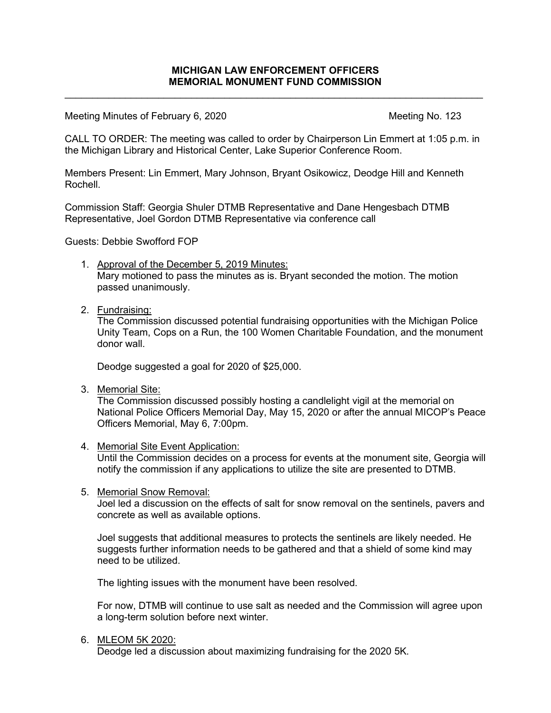$\_$  , and the set of the set of the set of the set of the set of the set of the set of the set of the set of the set of the set of the set of the set of the set of the set of the set of the set of the set of the set of th

Meeting Minutes of February 6, 2020 Meeting No. 123

CALL TO ORDER: The meeting was called to order by Chairperson Lin Emmert at 1:05 p.m. in the Michigan Library and Historical Center, Lake Superior Conference Room.

Members Present: Lin Emmert, Mary Johnson, Bryant Osikowicz, Deodge Hill and Kenneth Rochell.

Commission Staff: Georgia Shuler DTMB Representative and Dane Hengesbach DTMB Representative, Joel Gordon DTMB Representative via conference call

Guests: Debbie Swofford FOP

- 1. Approval of the December 5, 2019 Minutes: Mary motioned to pass the minutes as is. Bryant seconded the motion. The motion passed unanimously.
- 2. Fundraising:

The Commission discussed potential fundraising opportunities with the Michigan Police Unity Team, Cops on a Run, the 100 Women Charitable Foundation, and the monument donor wall.

Deodge suggested a goal for 2020 of \$25,000.

3. Memorial Site:

The Commission discussed possibly hosting a candlelight vigil at the memorial on National Police Officers Memorial Day, May 15, 2020 or after the annual MICOP's Peace Officers Memorial, May 6, 7:00pm.

4. Memorial Site Event Application:

Until the Commission decides on a process for events at the monument site, Georgia will notify the commission if any applications to utilize the site are presented to DTMB.

5. Memorial Snow Removal:

Joel led a discussion on the effects of salt for snow removal on the sentinels, pavers and concrete as well as available options.

Joel suggests that additional measures to protects the sentinels are likely needed. He suggests further information needs to be gathered and that a shield of some kind may need to be utilized.

The lighting issues with the monument have been resolved.

For now, DTMB will continue to use salt as needed and the Commission will agree upon a long-term solution before next winter.

6. MLEOM 5K 2020:

Deodge led a discussion about maximizing fundraising for the 2020 5K.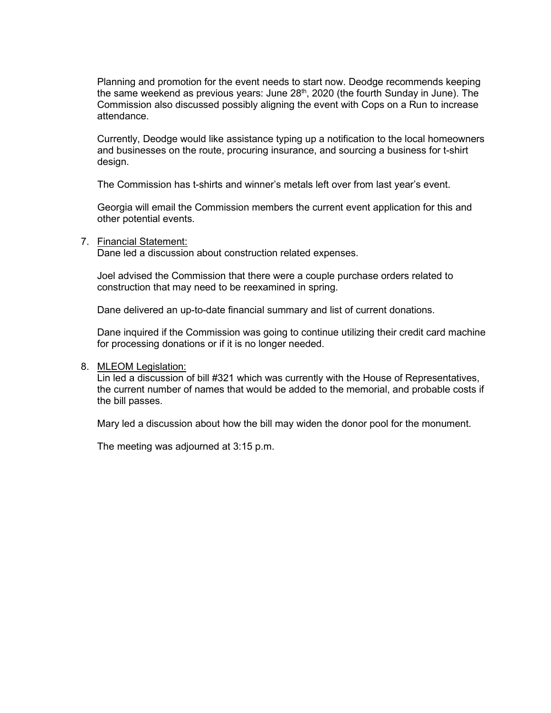Planning and promotion for the event needs to start now. Deodge recommends keeping the same weekend as previous years: June 28<sup>th</sup>, 2020 (the fourth Sunday in June). The Commission also discussed possibly aligning the event with Cops on a Run to increase attendance.

Currently, Deodge would like assistance typing up a notification to the local homeowners and businesses on the route, procuring insurance, and sourcing a business for t-shirt design.

The Commission has t-shirts and winner's metals left over from last year's event.

Georgia will email the Commission members the current event application for this and other potential events.

#### 7. Financial Statement:

Dane led a discussion about construction related expenses.

Joel advised the Commission that there were a couple purchase orders related to construction that may need to be reexamined in spring.

Dane delivered an up-to-date financial summary and list of current donations.

Dane inquired if the Commission was going to continue utilizing their credit card machine for processing donations or if it is no longer needed.

#### 8. MLEOM Legislation:

Lin led a discussion of bill #321 which was currently with the House of Representatives, the current number of names that would be added to the memorial, and probable costs if the bill passes.

Mary led a discussion about how the bill may widen the donor pool for the monument.

The meeting was adjourned at 3:15 p.m.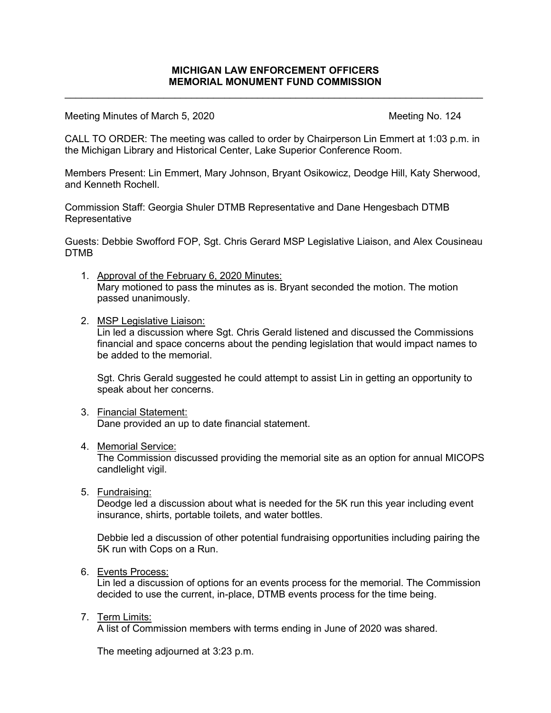$\_$  , and the set of the set of the set of the set of the set of the set of the set of the set of the set of the set of the set of the set of the set of the set of the set of the set of the set of the set of the set of th

Meeting Minutes of March 5, 2020 Meeting No. 124

CALL TO ORDER: The meeting was called to order by Chairperson Lin Emmert at 1:03 p.m. in the Michigan Library and Historical Center, Lake Superior Conference Room.

Members Present: Lin Emmert, Mary Johnson, Bryant Osikowicz, Deodge Hill, Katy Sherwood, and Kenneth Rochell.

Commission Staff: Georgia Shuler DTMB Representative and Dane Hengesbach DTMB Representative

Guests: Debbie Swofford FOP, Sgt. Chris Gerard MSP Legislative Liaison, and Alex Cousineau DTMB

- 1. Approval of the February 6, 2020 Minutes: Mary motioned to pass the minutes as is. Bryant seconded the motion. The motion passed unanimously.
- 2. MSP Legislative Liaison:

Lin led a discussion where Sgt. Chris Gerald listened and discussed the Commissions financial and space concerns about the pending legislation that would impact names to be added to the memorial.

Sgt. Chris Gerald suggested he could attempt to assist Lin in getting an opportunity to speak about her concerns.

- 3. Financial Statement: Dane provided an up to date financial statement.
- 4. Memorial Service:

The Commission discussed providing the memorial site as an option for annual MICOPS candlelight vigil.

5. Fundraising:

Deodge led a discussion about what is needed for the 5K run this year including event insurance, shirts, portable toilets, and water bottles.

Debbie led a discussion of other potential fundraising opportunities including pairing the 5K run with Cops on a Run.

6. Events Process:

Lin led a discussion of options for an events process for the memorial. The Commission decided to use the current, in-place, DTMB events process for the time being.

7. Term Limits:

A list of Commission members with terms ending in June of 2020 was shared.

The meeting adjourned at 3:23 p.m.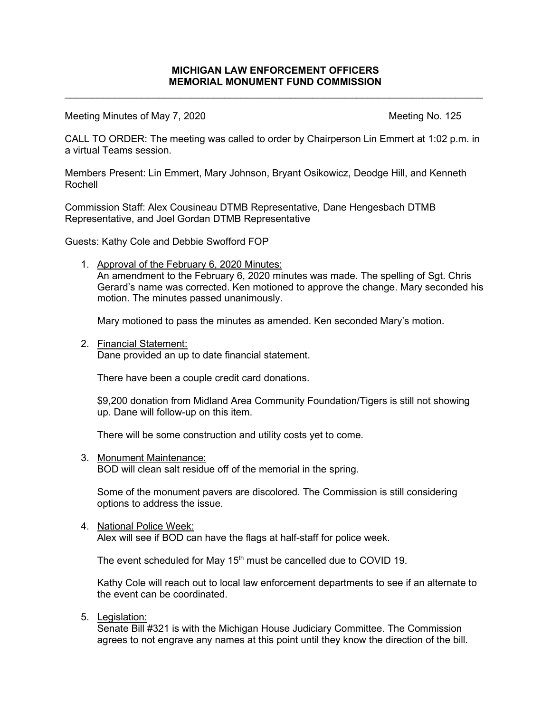$\_$  , and the set of the set of the set of the set of the set of the set of the set of the set of the set of the set of the set of the set of the set of the set of the set of the set of the set of the set of the set of th

Meeting Minutes of May 7, 2020 Meeting No. 125

CALL TO ORDER: The meeting was called to order by Chairperson Lin Emmert at 1:02 p.m. in a virtual Teams session.

Members Present: Lin Emmert, Mary Johnson, Bryant Osikowicz, Deodge Hill, and Kenneth Rochell

Commission Staff: Alex Cousineau DTMB Representative, Dane Hengesbach DTMB Representative, and Joel Gordan DTMB Representative

Guests: Kathy Cole and Debbie Swofford FOP

1. Approval of the February 6, 2020 Minutes: An amendment to the February 6, 2020 minutes was made. The spelling of Sgt. Chris Gerard's name was corrected. Ken motioned to approve the change. Mary seconded his motion. The minutes passed unanimously.

Mary motioned to pass the minutes as amended. Ken seconded Mary's motion.

2. Financial Statement: Dane provided an up to date financial statement.

There have been a couple credit card donations.

\$9,200 donation from Midland Area Community Foundation/Tigers is still not showing up. Dane will follow-up on this item.

There will be some construction and utility costs yet to come.

3. Monument Maintenance:

BOD will clean salt residue off of the memorial in the spring.

Some of the monument pavers are discolored. The Commission is still considering options to address the issue.

#### 4. National Police Week:

Alex will see if BOD can have the flags at half-staff for police week.

The event scheduled for May 15<sup>th</sup> must be cancelled due to COVID 19.

Kathy Cole will reach out to local law enforcement departments to see if an alternate to the event can be coordinated.

5. Legislation:

Senate Bill #321 is with the Michigan House Judiciary Committee. The Commission agrees to not engrave any names at this point until they know the direction of the bill.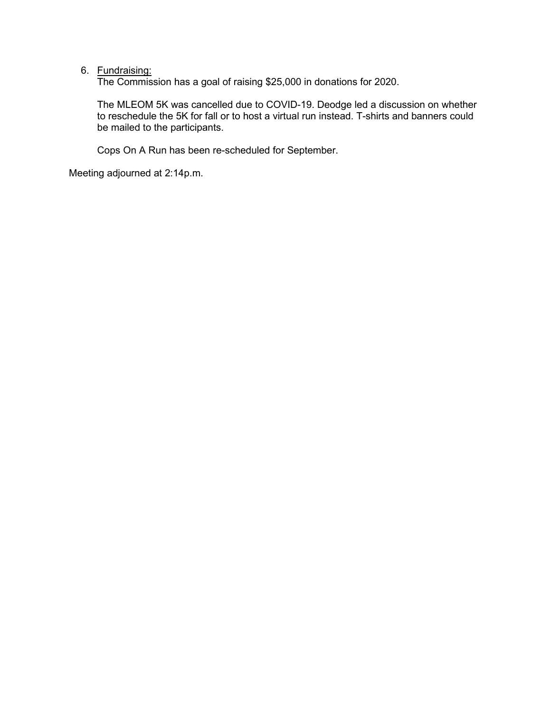# 6. Fundraising:

The Commission has a goal of raising \$25,000 in donations for 2020.

The MLEOM 5K was cancelled due to COVID-19. Deodge led a discussion on whether to reschedule the 5K for fall or to host a virtual run instead. T-shirts and banners could be mailed to the participants.

Cops On A Run has been re-scheduled for September.

Meeting adjourned at 2:14p.m.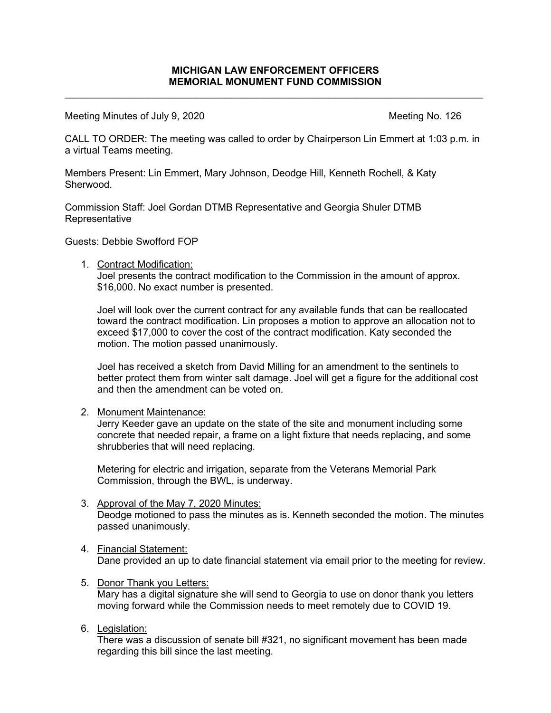$\_$  , and the set of the set of the set of the set of the set of the set of the set of the set of the set of the set of the set of the set of the set of the set of the set of the set of the set of the set of the set of th

Meeting Minutes of July 9, 2020 Meeting No. 126

CALL TO ORDER: The meeting was called to order by Chairperson Lin Emmert at 1:03 p.m. in a virtual Teams meeting.

Members Present: Lin Emmert, Mary Johnson, Deodge Hill, Kenneth Rochell, & Katy Sherwood.

Commission Staff: Joel Gordan DTMB Representative and Georgia Shuler DTMB **Representative** 

Guests: Debbie Swofford FOP

1. Contract Modification:

Joel presents the contract modification to the Commission in the amount of approx. \$16,000. No exact number is presented.

Joel will look over the current contract for any available funds that can be reallocated toward the contract modification. Lin proposes a motion to approve an allocation not to exceed \$17,000 to cover the cost of the contract modification. Katy seconded the motion. The motion passed unanimously.

Joel has received a sketch from David Milling for an amendment to the sentinels to better protect them from winter salt damage. Joel will get a figure for the additional cost and then the amendment can be voted on.

2. Monument Maintenance:

Jerry Keeder gave an update on the state of the site and monument including some concrete that needed repair, a frame on a light fixture that needs replacing, and some shrubberies that will need replacing.

Metering for electric and irrigation, separate from the Veterans Memorial Park Commission, through the BWL, is underway.

- 3. Approval of the May 7, 2020 Minutes: Deodge motioned to pass the minutes as is. Kenneth seconded the motion. The minutes passed unanimously.
- 4. Financial Statement: Dane provided an up to date financial statement via email prior to the meeting for review.

#### 5. Donor Thank you Letters:

Mary has a digital signature she will send to Georgia to use on donor thank you letters moving forward while the Commission needs to meet remotely due to COVID 19.

6. Legislation:

There was a discussion of senate bill #321, no significant movement has been made regarding this bill since the last meeting.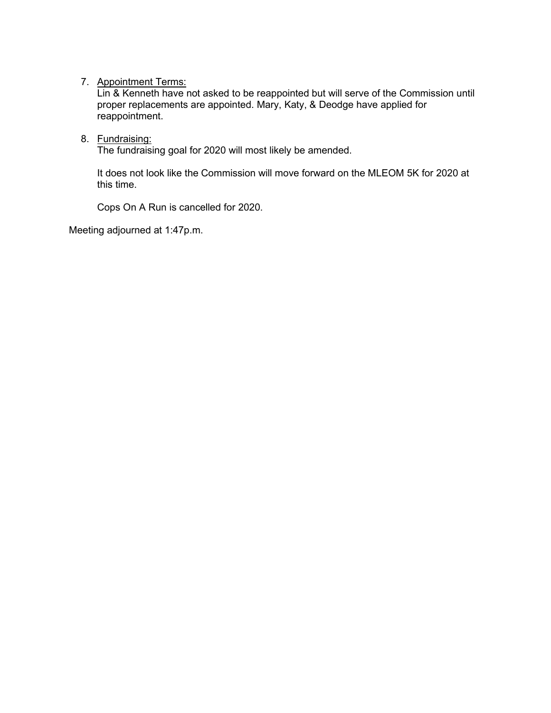## 7. Appointment Terms:

Lin & Kenneth have not asked to be reappointed but will serve of the Commission until proper replacements are appointed. Mary, Katy, & Deodge have applied for reappointment.

## 8. Fundraising:

The fundraising goal for 2020 will most likely be amended.

It does not look like the Commission will move forward on the MLEOM 5K for 2020 at this time.

Cops On A Run is cancelled for 2020.

Meeting adjourned at 1:47p.m.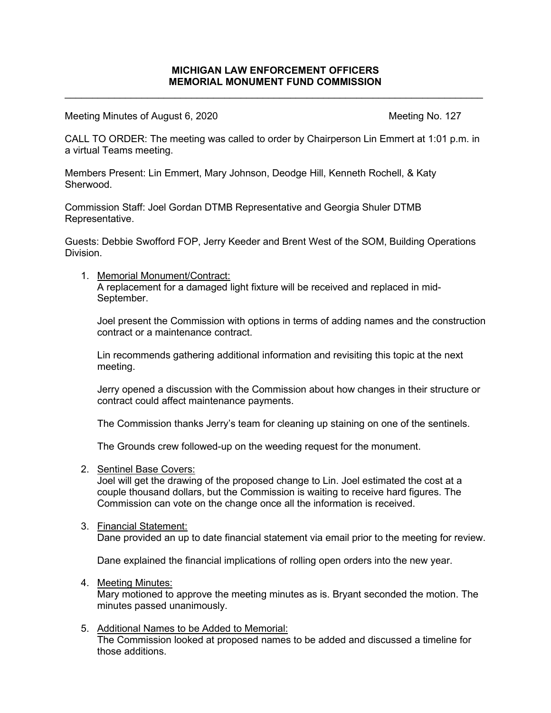$\_$  , and the set of the set of the set of the set of the set of the set of the set of the set of the set of the set of the set of the set of the set of the set of the set of the set of the set of the set of the set of th

Meeting Minutes of August 6, 2020 Meeting No. 127

CALL TO ORDER: The meeting was called to order by Chairperson Lin Emmert at 1:01 p.m. in a virtual Teams meeting.

Members Present: Lin Emmert, Mary Johnson, Deodge Hill, Kenneth Rochell, & Katy Sherwood.

Commission Staff: Joel Gordan DTMB Representative and Georgia Shuler DTMB Representative.

Guests: Debbie Swofford FOP, Jerry Keeder and Brent West of the SOM, Building Operations Division.

1. Memorial Monument/Contract:

A replacement for a damaged light fixture will be received and replaced in mid-September.

Joel present the Commission with options in terms of adding names and the construction contract or a maintenance contract.

Lin recommends gathering additional information and revisiting this topic at the next meeting.

Jerry opened a discussion with the Commission about how changes in their structure or contract could affect maintenance payments.

The Commission thanks Jerry's team for cleaning up staining on one of the sentinels.

The Grounds crew followed-up on the weeding request for the monument.

2. Sentinel Base Covers:

Joel will get the drawing of the proposed change to Lin. Joel estimated the cost at a couple thousand dollars, but the Commission is waiting to receive hard figures. The Commission can vote on the change once all the information is received.

3. Financial Statement:

Dane provided an up to date financial statement via email prior to the meeting for review.

Dane explained the financial implications of rolling open orders into the new year.

4. Meeting Minutes:

Mary motioned to approve the meeting minutes as is. Bryant seconded the motion. The minutes passed unanimously.

5. Additional Names to be Added to Memorial:

The Commission looked at proposed names to be added and discussed a timeline for those additions.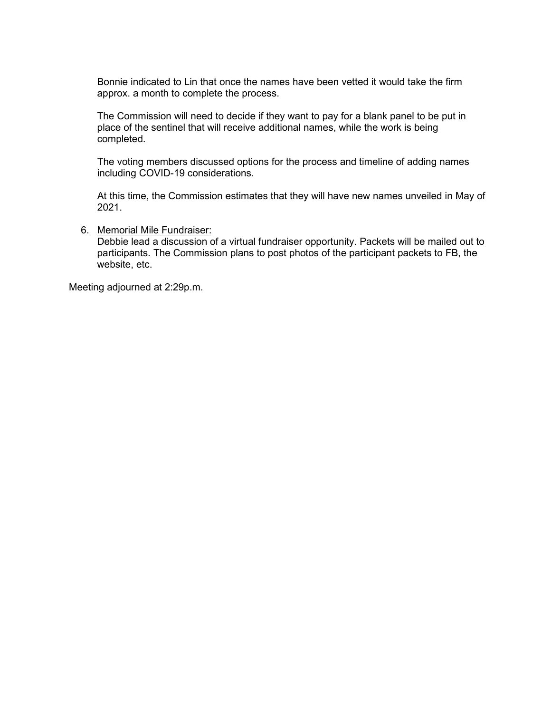Bonnie indicated to Lin that once the names have been vetted it would take the firm approx. a month to complete the process.

The Commission will need to decide if they want to pay for a blank panel to be put in place of the sentinel that will receive additional names, while the work is being completed.

The voting members discussed options for the process and timeline of adding names including COVID-19 considerations.

At this time, the Commission estimates that they will have new names unveiled in May of 2021.

6. Memorial Mile Fundraiser:

Debbie lead a discussion of a virtual fundraiser opportunity. Packets will be mailed out to participants. The Commission plans to post photos of the participant packets to FB, the website, etc.

Meeting adjourned at 2:29p.m.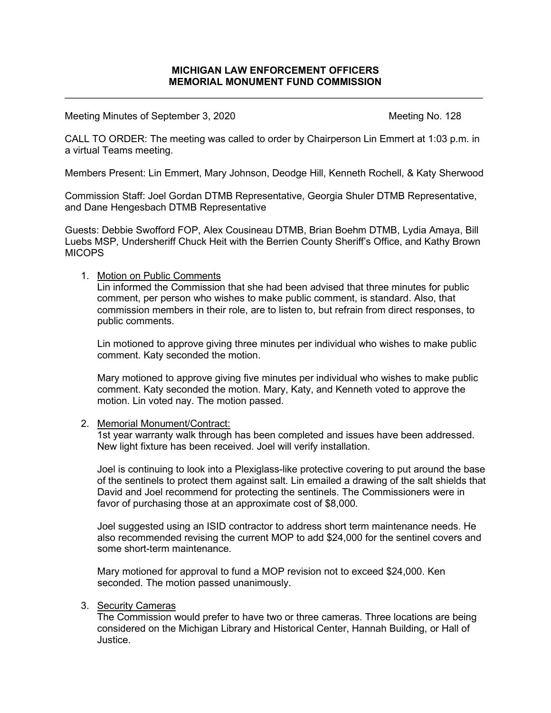$\_$  , and the set of the set of the set of the set of the set of the set of the set of the set of the set of the set of the set of the set of the set of the set of the set of the set of the set of the set of the set of th

Meeting Minutes of September 3, 2020 Meeting No. 128

CALL TO ORDER: The meeting was called to order by Chairperson Lin Emmert at 1:03 p.m. in a virtual Teams meeting.

Members Present: Lin Emmert, Mary Johnson, Deodge Hill, Kenneth Rochell, & Katy Sherwood

Commission Staff: Joel Gordan DTMB Representative, Georgia Shuler DTMB Representative, and Dane Hengesbach DTMB Representative

Guests: Debbie Swofford FOP, Alex Cousineau DTMB, Brian Boehm DTMB, Lydia Amaya, Bill Luebs MSP, Undersheriff Chuck Heit with the Berrien County Sheriff's Office, and Kathy Brown MICOPS

### 1. Motion on Public Comments

Lin informed the Commission that she had been advised that three minutes for public comment, per person who wishes to make public comment, is standard. Also, that commission members in their role, are to listen to, but refrain from direct responses, to public comments.

Lin motioned to approve giving three minutes per individual who wishes to make public comment. Katy seconded the motion.

Mary motioned to approve giving five minutes per individual who wishes to make public comment. Katy seconded the motion. Mary, Katy, and Kenneth voted to approve the motion. Lin voted nay. The motion passed.

#### 2. Memorial Monument/Contract:

1st year warranty walk through has been completed and issues have been addressed. New light fixture has been received. Joel will verify installation.

Joel is continuing to look into a Plexiglass-like protective covering to put around the base of the sentinels to protect them against salt. Lin emailed a drawing of the salt shields that David and Joel recommend for protecting the sentinels. The Commissioners were in favor of purchasing those at an approximate cost of \$8,000.

Joel suggested using an ISID contractor to address short term maintenance needs. He also recommended revising the current MOP to add \$24,000 for the sentinel covers and some short-term maintenance.

Mary motioned for approval to fund a MOP revision not to exceed \$24,000. Ken seconded. The motion passed unanimously.

#### 3. Security Cameras

The Commission would prefer to have two or three cameras. Three locations are being considered on the Michigan Library and Historical Center, Hannah Building, or Hall of Justice.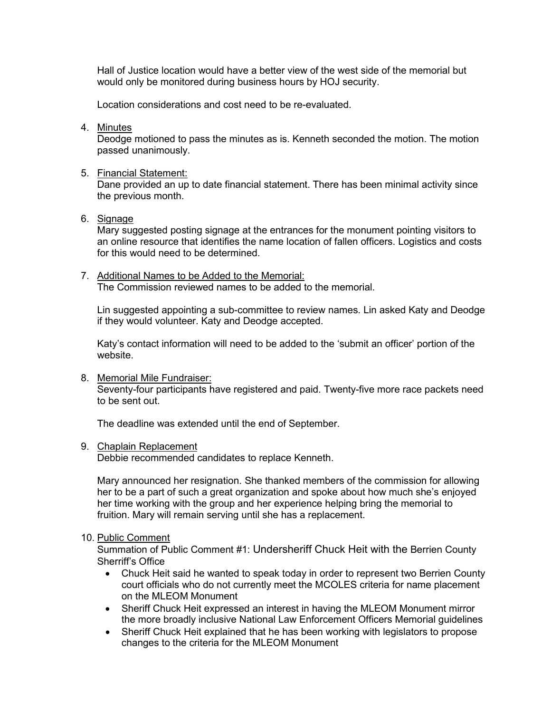Hall of Justice location would have a better view of the west side of the memorial but would only be monitored during business hours by HOJ security.

Location considerations and cost need to be re-evaluated.

4. Minutes

Deodge motioned to pass the minutes as is. Kenneth seconded the motion. The motion passed unanimously.

5. Financial Statement:

Dane provided an up to date financial statement. There has been minimal activity since the previous month.

6. Signage

Mary suggested posting signage at the entrances for the monument pointing visitors to an online resource that identifies the name location of fallen officers. Logistics and costs for this would need to be determined.

7. Additional Names to be Added to the Memorial: The Commission reviewed names to be added to the memorial.

Lin suggested appointing a sub-committee to review names. Lin asked Katy and Deodge if they would volunteer. Katy and Deodge accepted.

Katy's contact information will need to be added to the 'submit an officer' portion of the website.

8. Memorial Mile Fundraiser:

Seventy-four participants have registered and paid. Twenty-five more race packets need to be sent out.

The deadline was extended until the end of September.

9. Chaplain Replacement

Debbie recommended candidates to replace Kenneth.

Mary announced her resignation. She thanked members of the commission for allowing her to be a part of such a great organization and spoke about how much she's enjoyed her time working with the group and her experience helping bring the memorial to fruition. Mary will remain serving until she has a replacement.

#### 10. Public Comment

Summation of Public Comment #1: Undersheriff Chuck Heit with the Berrien County Sherriff's Office

- Chuck Heit said he wanted to speak today in order to represent two Berrien County court officials who do not currently meet the MCOLES criteria for name placement on the MLEOM Monument
- Sheriff Chuck Heit expressed an interest in having the MLEOM Monument mirror the more broadly inclusive National Law Enforcement Officers Memorial guidelines
- Sheriff Chuck Heit explained that he has been working with legislators to propose changes to the criteria for the MLEOM Monument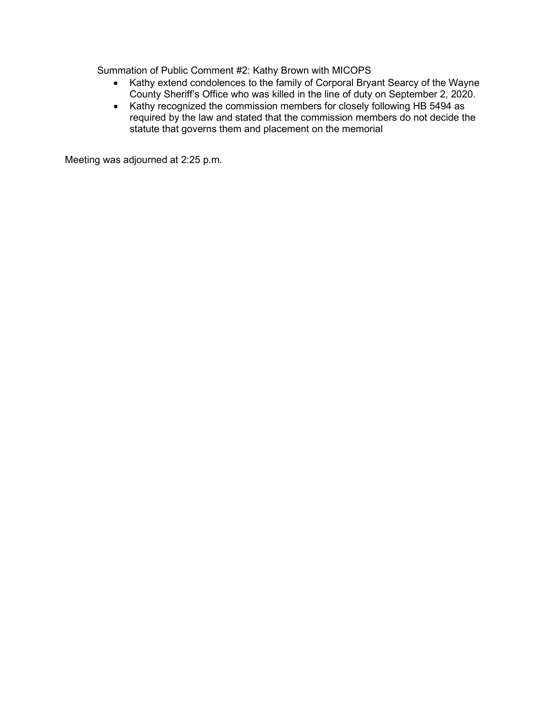Summation of Public Comment #2: Kathy Brown with MICOPS

- Kathy extend condolences to the family of Corporal Bryant Searcy of the Wayne County Sheriff's Office who was killed in the line of duty on September 2, 2020.
- Kathy recognized the commission members for closely following HB 5494 as required by the law and stated that the commission members do not decide the statute that governs them and placement on the memorial

Meeting was adjourned at 2:25 p.m.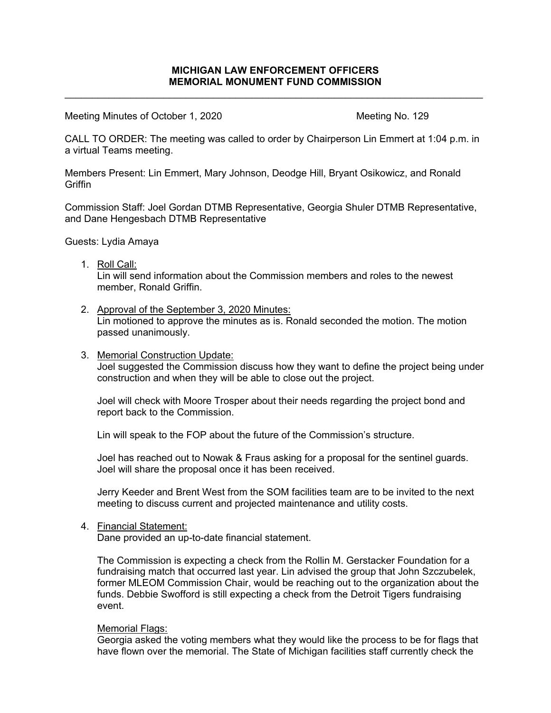$\mathcal{L}_\mathcal{L} = \{ \mathcal{L}_\mathcal{L} = \{ \mathcal{L}_\mathcal{L} = \{ \mathcal{L}_\mathcal{L} = \{ \mathcal{L}_\mathcal{L} = \{ \mathcal{L}_\mathcal{L} = \{ \mathcal{L}_\mathcal{L} = \{ \mathcal{L}_\mathcal{L} = \{ \mathcal{L}_\mathcal{L} = \{ \mathcal{L}_\mathcal{L} = \{ \mathcal{L}_\mathcal{L} = \{ \mathcal{L}_\mathcal{L} = \{ \mathcal{L}_\mathcal{L} = \{ \mathcal{L}_\mathcal{L} = \{ \mathcal{L}_\mathcal{$ 

Meeting Minutes of October 1, 2020 Meeting No. 129

CALL TO ORDER: The meeting was called to order by Chairperson Lin Emmert at 1:04 p.m. in a virtual Teams meeting.

Members Present: Lin Emmert, Mary Johnson, Deodge Hill, Bryant Osikowicz, and Ronald **Griffin** 

Commission Staff: Joel Gordan DTMB Representative, Georgia Shuler DTMB Representative, and Dane Hengesbach DTMB Representative

Guests: Lydia Amaya

1. Roll Call:

Lin will send information about the Commission members and roles to the newest member, Ronald Griffin.

- 2. Approval of the September 3, 2020 Minutes: Lin motioned to approve the minutes as is. Ronald seconded the motion. The motion passed unanimously.
- 3. Memorial Construction Update: Joel suggested the Commission discuss how they want to define the project being under construction and when they will be able to close out the project.

Joel will check with Moore Trosper about their needs regarding the project bond and report back to the Commission.

Lin will speak to the FOP about the future of the Commission's structure.

Joel has reached out to Nowak & Fraus asking for a proposal for the sentinel guards. Joel will share the proposal once it has been received.

Jerry Keeder and Brent West from the SOM facilities team are to be invited to the next meeting to discuss current and projected maintenance and utility costs.

4. Financial Statement:

Dane provided an up-to-date financial statement.

The Commission is expecting a check from the Rollin M. Gerstacker Foundation for a fundraising match that occurred last year. Lin advised the group that John Szczubelek, former MLEOM Commission Chair, would be reaching out to the organization about the funds. Debbie Swofford is still expecting a check from the Detroit Tigers fundraising event.

### Memorial Flags:

Georgia asked the voting members what they would like the process to be for flags that have flown over the memorial. The State of Michigan facilities staff currently check the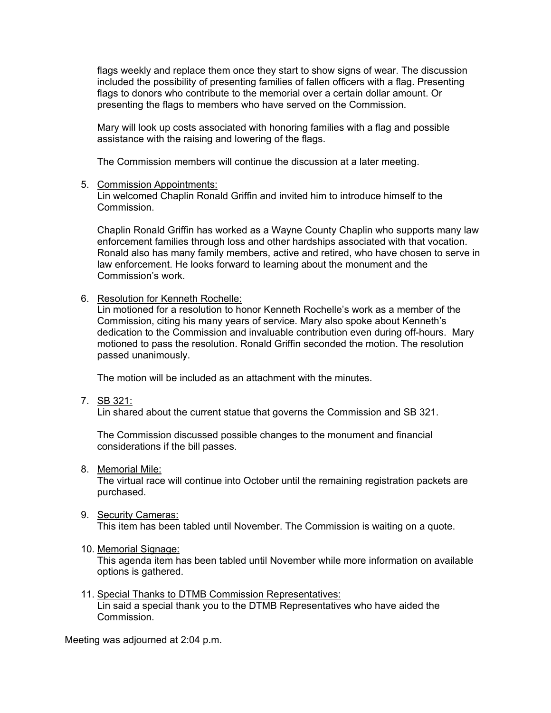flags weekly and replace them once they start to show signs of wear. The discussion included the possibility of presenting families of fallen officers with a flag. Presenting flags to donors who contribute to the memorial over a certain dollar amount. Or presenting the flags to members who have served on the Commission.

Mary will look up costs associated with honoring families with a flag and possible assistance with the raising and lowering of the flags.

The Commission members will continue the discussion at a later meeting.

### 5. Commission Appointments:

Lin welcomed Chaplin Ronald Griffin and invited him to introduce himself to the Commission.

Chaplin Ronald Griffin has worked as a Wayne County Chaplin who supports many law enforcement families through loss and other hardships associated with that vocation. Ronald also has many family members, active and retired, who have chosen to serve in law enforcement. He looks forward to learning about the monument and the Commission's work.

### 6. Resolution for Kenneth Rochelle:

Lin motioned for a resolution to honor Kenneth Rochelle's work as a member of the Commission, citing his many years of service. Mary also spoke about Kenneth's dedication to the Commission and invaluable contribution even during off-hours. Mary motioned to pass the resolution. Ronald Griffin seconded the motion. The resolution passed unanimously.

The motion will be included as an attachment with the minutes.

7. SB 321:

Lin shared about the current statue that governs the Commission and SB 321.

The Commission discussed possible changes to the monument and financial considerations if the bill passes.

8. Memorial Mile:

The virtual race will continue into October until the remaining registration packets are purchased.

## 9. Security Cameras:

This item has been tabled until November. The Commission is waiting on a quote.

## 10. Memorial Signage:

This agenda item has been tabled until November while more information on available options is gathered.

11. Special Thanks to DTMB Commission Representatives: Lin said a special thank you to the DTMB Representatives who have aided the Commission.

Meeting was adjourned at 2:04 p.m.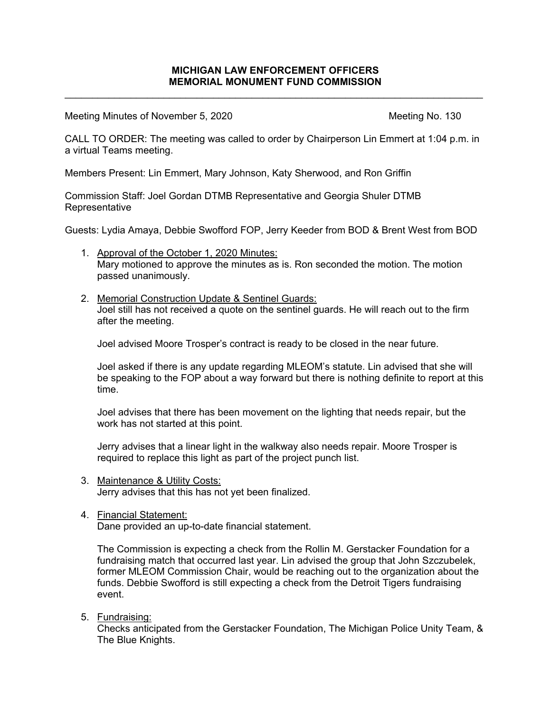$\mathcal{L}_\mathcal{L} = \{ \mathcal{L}_\mathcal{L} = \{ \mathcal{L}_\mathcal{L} = \{ \mathcal{L}_\mathcal{L} = \{ \mathcal{L}_\mathcal{L} = \{ \mathcal{L}_\mathcal{L} = \{ \mathcal{L}_\mathcal{L} = \{ \mathcal{L}_\mathcal{L} = \{ \mathcal{L}_\mathcal{L} = \{ \mathcal{L}_\mathcal{L} = \{ \mathcal{L}_\mathcal{L} = \{ \mathcal{L}_\mathcal{L} = \{ \mathcal{L}_\mathcal{L} = \{ \mathcal{L}_\mathcal{L} = \{ \mathcal{L}_\mathcal{$ 

Meeting Minutes of November 5, 2020 Meeting No. 130

CALL TO ORDER: The meeting was called to order by Chairperson Lin Emmert at 1:04 p.m. in a virtual Teams meeting.

Members Present: Lin Emmert, Mary Johnson, Katy Sherwood, and Ron Griffin

Commission Staff: Joel Gordan DTMB Representative and Georgia Shuler DTMB Representative

Guests: Lydia Amaya, Debbie Swofford FOP, Jerry Keeder from BOD & Brent West from BOD

- 1. Approval of the October 1, 2020 Minutes: Mary motioned to approve the minutes as is. Ron seconded the motion. The motion passed unanimously.
- 2. Memorial Construction Update & Sentinel Guards: Joel still has not received a quote on the sentinel guards. He will reach out to the firm after the meeting.

Joel advised Moore Trosper's contract is ready to be closed in the near future.

Joel asked if there is any update regarding MLEOM's statute. Lin advised that she will be speaking to the FOP about a way forward but there is nothing definite to report at this time.

Joel advises that there has been movement on the lighting that needs repair, but the work has not started at this point.

Jerry advises that a linear light in the walkway also needs repair. Moore Trosper is required to replace this light as part of the project punch list.

- 3. Maintenance & Utility Costs: Jerry advises that this has not yet been finalized.
- 4. Financial Statement:

Dane provided an up-to-date financial statement.

The Commission is expecting a check from the Rollin M. Gerstacker Foundation for a fundraising match that occurred last year. Lin advised the group that John Szczubelek, former MLEOM Commission Chair, would be reaching out to the organization about the funds. Debbie Swofford is still expecting a check from the Detroit Tigers fundraising event.

5. Fundraising:

Checks anticipated from the Gerstacker Foundation, The Michigan Police Unity Team, & The Blue Knights.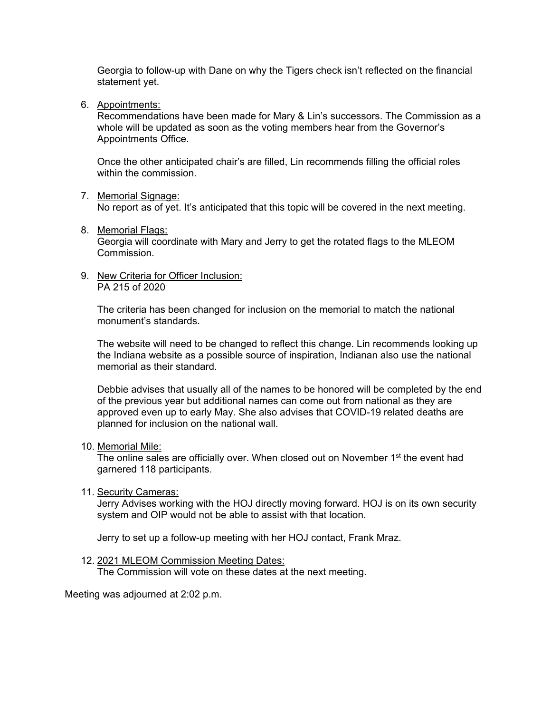Georgia to follow-up with Dane on why the Tigers check isn't reflected on the financial statement yet.

6. Appointments:

Recommendations have been made for Mary & Lin's successors. The Commission as a whole will be updated as soon as the voting members hear from the Governor's Appointments Office.

Once the other anticipated chair's are filled, Lin recommends filling the official roles within the commission.

#### 7. Memorial Signage:

No report as of yet. It's anticipated that this topic will be covered in the next meeting.

### 8. Memorial Flags:

Georgia will coordinate with Mary and Jerry to get the rotated flags to the MLEOM Commission.

#### 9. New Criteria for Officer Inclusion: PA 215 of 2020

The criteria has been changed for inclusion on the memorial to match the national monument's standards.

The website will need to be changed to reflect this change. Lin recommends looking up the Indiana website as a possible source of inspiration, Indianan also use the national memorial as their standard.

Debbie advises that usually all of the names to be honored will be completed by the end of the previous year but additional names can come out from national as they are approved even up to early May. She also advises that COVID-19 related deaths are planned for inclusion on the national wall.

## 10. Memorial Mile:

The online sales are officially over. When closed out on November  $1<sup>st</sup>$  the event had garnered 118 participants.

## 11. Security Cameras:

Jerry Advises working with the HOJ directly moving forward. HOJ is on its own security system and OIP would not be able to assist with that location.

Jerry to set up a follow-up meeting with her HOJ contact, Frank Mraz.

## 12. 2021 MLEOM Commission Meeting Dates:

The Commission will vote on these dates at the next meeting.

Meeting was adjourned at 2:02 p.m.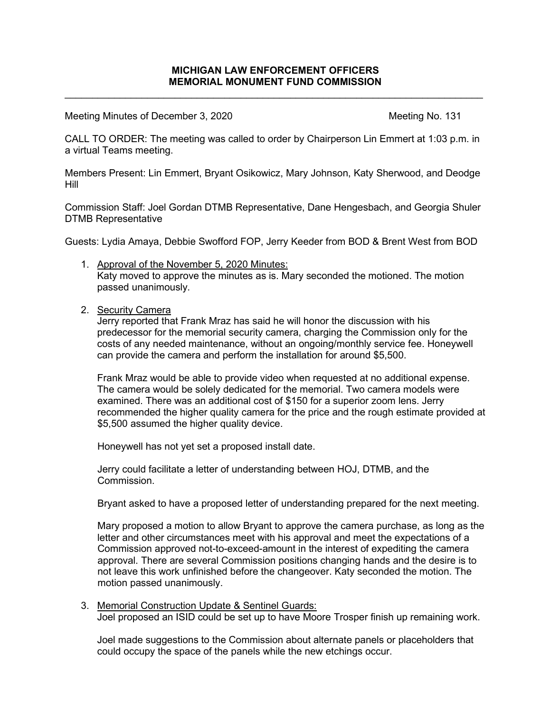$\_$  , and the set of the set of the set of the set of the set of the set of the set of the set of the set of the set of the set of the set of the set of the set of the set of the set of the set of the set of the set of th

Meeting Minutes of December 3, 2020 Meeting No. 131

CALL TO ORDER: The meeting was called to order by Chairperson Lin Emmert at 1:03 p.m. in a virtual Teams meeting.

Members Present: Lin Emmert, Bryant Osikowicz, Mary Johnson, Katy Sherwood, and Deodge Hill

Commission Staff: Joel Gordan DTMB Representative, Dane Hengesbach, and Georgia Shuler DTMB Representative

Guests: Lydia Amaya, Debbie Swofford FOP, Jerry Keeder from BOD & Brent West from BOD

- 1. Approval of the November 5, 2020 Minutes: Katy moved to approve the minutes as is. Mary seconded the motioned. The motion passed unanimously.
- 2. Security Camera

Jerry reported that Frank Mraz has said he will honor the discussion with his predecessor for the memorial security camera, charging the Commission only for the costs of any needed maintenance, without an ongoing/monthly service fee. Honeywell can provide the camera and perform the installation for around \$5,500.

Frank Mraz would be able to provide video when requested at no additional expense. The camera would be solely dedicated for the memorial. Two camera models were examined. There was an additional cost of \$150 for a superior zoom lens. Jerry recommended the higher quality camera for the price and the rough estimate provided at \$5,500 assumed the higher quality device.

Honeywell has not yet set a proposed install date.

Jerry could facilitate a letter of understanding between HOJ, DTMB, and the Commission.

Bryant asked to have a proposed letter of understanding prepared for the next meeting.

Mary proposed a motion to allow Bryant to approve the camera purchase, as long as the letter and other circumstances meet with his approval and meet the expectations of a Commission approved not-to-exceed-amount in the interest of expediting the camera approval. There are several Commission positions changing hands and the desire is to not leave this work unfinished before the changeover. Katy seconded the motion. The motion passed unanimously.

3. Memorial Construction Update & Sentinel Guards: Joel proposed an ISID could be set up to have Moore Trosper finish up remaining work.

Joel made suggestions to the Commission about alternate panels or placeholders that could occupy the space of the panels while the new etchings occur.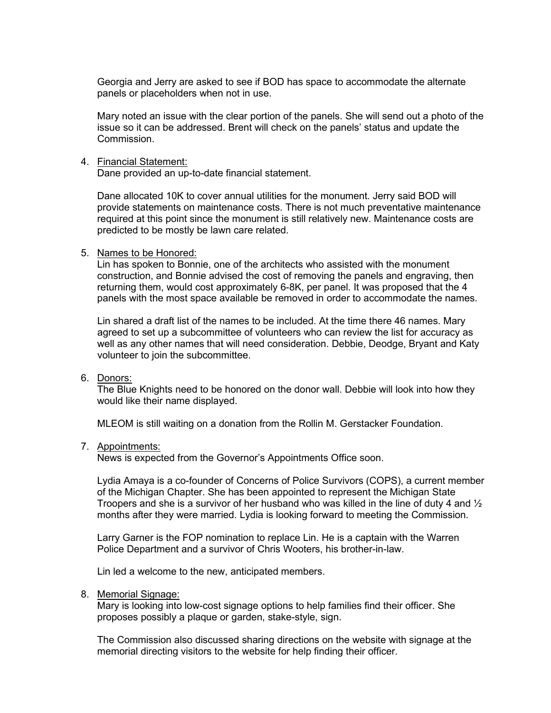Georgia and Jerry are asked to see if BOD has space to accommodate the alternate panels or placeholders when not in use.

Mary noted an issue with the clear portion of the panels. She will send out a photo of the issue so it can be addressed. Brent will check on the panels' status and update the Commission.

#### 4. Financial Statement:

Dane provided an up-to-date financial statement.

Dane allocated 10K to cover annual utilities for the monument. Jerry said BOD will provide statements on maintenance costs. There is not much preventative maintenance required at this point since the monument is still relatively new. Maintenance costs are predicted to be mostly be lawn care related.

#### 5. Names to be Honored:

Lin has spoken to Bonnie, one of the architects who assisted with the monument construction, and Bonnie advised the cost of removing the panels and engraving, then returning them, would cost approximately 6-8K, per panel. It was proposed that the 4 panels with the most space available be removed in order to accommodate the names.

Lin shared a draft list of the names to be included. At the time there 46 names. Mary agreed to set up a subcommittee of volunteers who can review the list for accuracy as well as any other names that will need consideration. Debbie, Deodge, Bryant and Katy volunteer to join the subcommittee.

#### 6. Donors:

The Blue Knights need to be honored on the donor wall. Debbie will look into how they would like their name displayed.

MLEOM is still waiting on a donation from the Rollin M. Gerstacker Foundation.

#### 7. Appointments:

News is expected from the Governor's Appointments Office soon.

Lydia Amaya is a co-founder of Concerns of Police Survivors (COPS), a current member of the Michigan Chapter. She has been appointed to represent the Michigan State Troopers and she is a survivor of her husband who was killed in the line of duty 4 and  $\frac{1}{2}$ months after they were married. Lydia is looking forward to meeting the Commission.

Larry Garner is the FOP nomination to replace Lin. He is a captain with the Warren Police Department and a survivor of Chris Wooters, his brother-in-law.

Lin led a welcome to the new, anticipated members.

#### 8. Memorial Signage:

Mary is looking into low-cost signage options to help families find their officer. She proposes possibly a plaque or garden, stake-style, sign.

The Commission also discussed sharing directions on the website with signage at the memorial directing visitors to the website for help finding their officer.